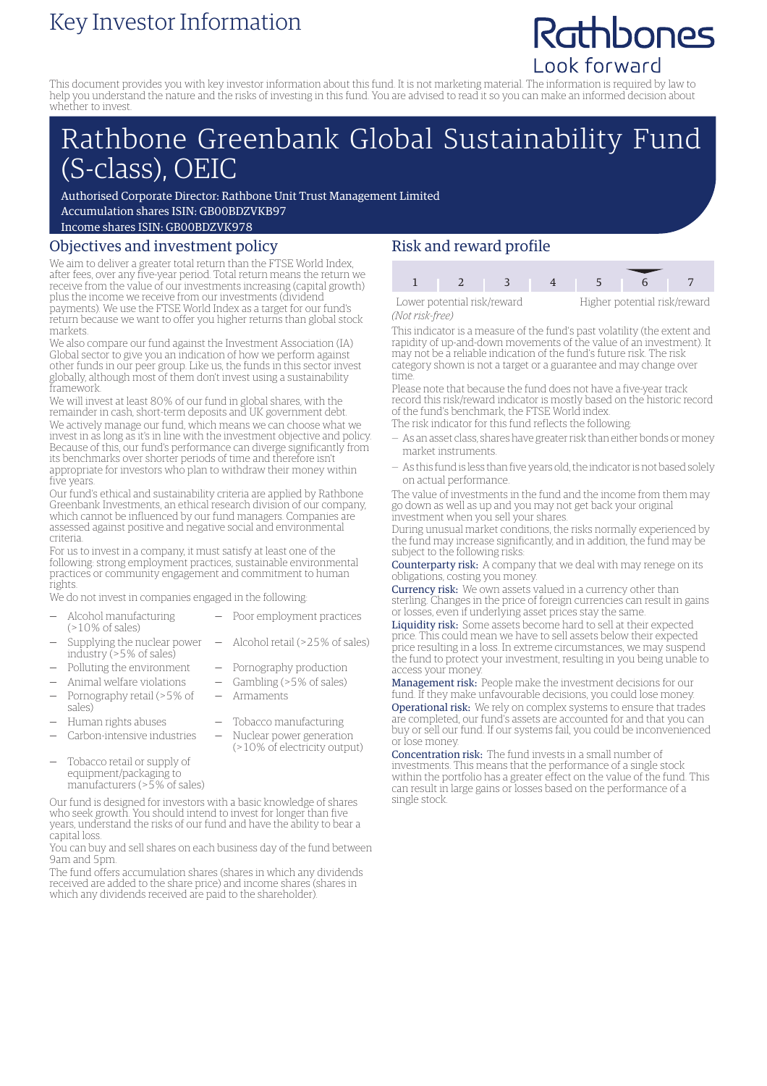## Key Investor Information

# Rathbones Look forward

This document provides you with key investor information about this fund. It is not marketing material. The information is required by law to help you understand the nature and the risks of investing in this fund. You are advised to read it so you can make an informed decision about whether to invest.

## Rathbone Greenbank Global Sustainability Fund (S-class), OEIC

Authorised Corporate Director: Rathbone Unit Trust Management Limited Accumulation shares ISIN: GB00BDZVKB97

Income shares ISIN: GB00BDZVK978

#### Objectives and investment policy

We aim to deliver a greater total return than the FTSE World Index, after fees, over any five-year period. Total return means the return we receive from the value of our investments increasing (capital growth) plus the income we receive from our investments (dividend payments). We use the FTSE World Index as a target for our fund's return because we want to offer you higher returns than global stock markets.

We also compare our fund against the Investment Association (IA) Global sector to give you an indication of how we perform against other funds in our peer group. Like us, the funds in this sector invest globally, although most of them don't invest using a sustainability framework.

We will invest at least 80% of our fund in global shares, with the remainder in cash, short-term deposits and UK government debt. We actively manage our fund, which means we can choose what we invest in as long as it's in line with the investment objective and policy. Because of this, our fund's performance can diverge significantly from its benchmarks over shorter periods of time and therefore isn't appropriate for investors who plan to withdraw their money within five years.

Our fund's ethical and sustainability criteria are applied by Rathbone Greenbank Investments, an ethical research division of our company, which cannot be influenced by our fund managers. Companies are assessed against positive and negative social and environmental criteria.

For us to invest in a company, it must satisfy at least one of the following: strong employment practices, sustainable environmental practices or community engagement and commitment to human rights.

We do not invest in companies engaged in the following:

- Alcohol manufacturing (>10% of sales)
- Poor employment practices

— Armaments

(>10% of electricity output)

- Supplying the nuclear power industry (>5% of sales) — Alcohol retail (>25% of sales)
- Polluting the environment Pornography production
- Animal welfare violations  $-$  Gambling (>5% of sales)
- Pornography retail (>5% of sales)
- Human rights abuses Tobacco manufacturing
- Carbon-intensive industries Nuclear power generation
- Tobacco retail or supply of equipment/packaging to manufacturers (>5% of sales)

Our fund is designed for investors with a basic knowledge of shares who seek growth. You should intend to invest for longer than five years, understand the risks of our fund and have the ability to bear a capital loss.

You can buy and sell shares on each business day of the fund between 9am and 5pm.

The fund offers accumulation shares (shares in which any dividends received are added to the share price) and income shares (shares in which any dividends received are paid to the shareholder).

### Risk and reward profile

1 2 3 4 5 6 Lower potential risk/reward Higher potential risk/reward

*(Not risk-free)*

This indicator is a measure of the fund's past volatility (the extent and rapidity of up-and-down movements of the value of an investment). It may not be a reliable indication of the fund's future risk. The risk

category shown is not a target or a guarantee and may change over time.

Please note that because the fund does not have a five-year track record this risk/reward indicator is mostly based on the historic record of the fund's benchmark, the FTSE World index.

- The risk indicator for this fund reflects the following:
- As an asset class, shares have greater risk than either bonds ormoney market instruments.
- As this fund is less than five years old, the indicator is not based solely on actual performance.

The value of investments in the fund and the income from them may go down as well as up and you may not get back your original investment when you sell your shares.

During unusual market conditions, the risks normally experienced by the fund may increase significantly, and in addition, the fund may be subject to the following risks:

Counterparty risk: A company that we deal with may renege on its obligations, costing you money.

Currency risk: We own assets valued in a currency other than sterling. Changes in the price of foreign currencies can result in gains or losses, even if underlying asset prices stay the same.

Liquidity risk: Some assets become hard to sell at their expected price. This could mean we have to sell assets below their expected price resulting in a loss. In extreme circumstances, we may suspend the fund to protect your investment, resulting in you being unable to access your money.

Management risk: People make the investment decisions for our fund. If they make unfavourable decisions, you could lose money. Operational risk: We rely on complex systems to ensure that trades are completed, our fund's assets are accounted for and that you can buy or sell our fund. If our systems fail, you could be inconvenienced or lose money.

Concentration risk: The fund invests in a small number of investments. This means that the performance of a single stock within the portfolio has a greater effect on the value of the fund. This can result in large gains or losses based on the performance of a single stock.